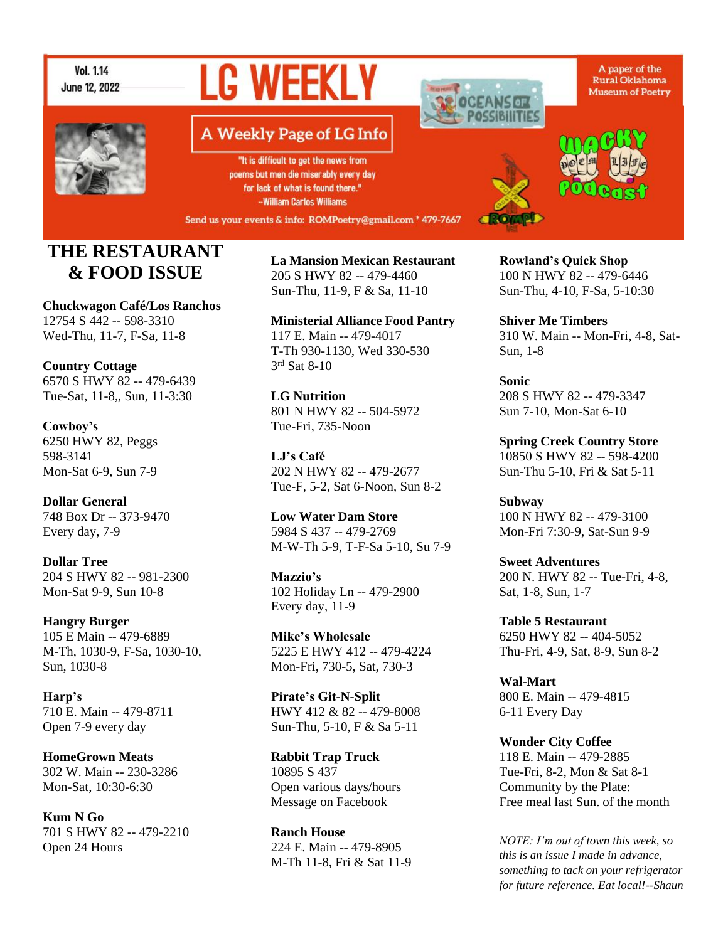

# **LG WEEKLY**



# A Weekly Page of LG Info

"It is difficult to get the news from poems but men die miserably every day for lack of what is found there." -William Carlos Williams

Send us your events & info: ROMPoetry@gmail.com \* 479-7667

# **THE RESTAURANT & FOOD ISSUE**

**Chuckwagon Café/Los Ranchos** 12754 S 442 -- 598-3310 Wed-Thu, 11-7, F-Sa, 11-8

**Country Cottage** 6570 S HWY 82 -- 479-6439 Tue-Sat, 11-8,, Sun, 11-3:30

**Cowboy's** 6250 HWY 82, Peggs 598-3141 Mon-Sat 6-9, Sun 7-9

**Dollar General** 748 Box Dr -- 373-9470 Every day, 7-9

**Dollar Tree** 204 S HWY 82 -- 981-2300 Mon-Sat 9-9, Sun 10-8

**Hangry Burger** 105 E Main -- 479-6889 M-Th, 1030-9, F-Sa, 1030-10, Sun, 1030-8

**Harp's** 710 E. Main -- 479-8711 Open 7-9 every day

**HomeGrown Meats** 302 W. Main -- 230-3286 Mon-Sat, 10:30-6:30

**Kum N Go** 701 S HWY 82 -- 479-2210 Open 24 Hours

**La Mansion Mexican Restaurant** 205 S HWY 82 -- 479-4460 Sun-Thu, 11-9, F & Sa, 11-10

**Ministerial Alliance Food Pantry** 117 E. Main -- 479-4017 T-Th 930-1130, Wed 330-530 3 rd Sat 8-10

**LG Nutrition** 801 N HWY 82 -- 504-5972 Tue-Fri, 735-Noon

**LJ's Café** 202 N HWY 82 -- 479-2677 Tue-F, 5-2, Sat 6-Noon, Sun 8-2

**Low Water Dam Store** 5984 S 437 -- 479-2769 M-W-Th 5-9, T-F-Sa 5-10, Su 7-9

**Mazzio's** 102 Holiday Ln -- 479-2900 Every day, 11-9

**Mike's Wholesale** 5225 E HWY 412 -- 479-4224 Mon-Fri, 730-5, Sat, 730-3

**Pirate's Git-N-Split** HWY 412 & 82 -- 479-8008 Sun-Thu, 5-10, F & Sa 5-11

**Rabbit Trap Truck** 10895 S 437 Open various days/hours Message on Facebook

**Ranch House** 224 E. Main -- 479-8905 M-Th 11-8, Fri & Sat 11-9 **Rowland's Quick Shop** 100 N HWY 82 -- 479-6446 Sun-Thu, 4-10, F-Sa, 5-10:30

**Shiver Me Timbers** 310 W. Main -- Mon-Fri, 4-8, Sat-Sun, 1-8

**Sonic** 208 S HWY 82 -- 479-3347 Sun 7-10, Mon-Sat 6-10

**Spring Creek Country Store** 10850 S HWY 82 -- 598-4200 Sun-Thu 5-10, Fri & Sat 5-11

**Subway** 100 N HWY 82 -- 479-3100 Mon-Fri 7:30-9, Sat-Sun 9-9

**Sweet Adventures** 200 N. HWY 82 -- Tue-Fri, 4-8, Sat, 1-8, Sun, 1-7

**Table 5 Restaurant** 6250 HWY 82 -- 404-5052 Thu-Fri, 4-9, Sat, 8-9, Sun 8-2

**Wal-Mart** 800 E. Main -- 479-4815 6-11 Every Day

**Wonder City Coffee** 118 E. Main -- 479-2885 Tue-Fri, 8-2, Mon & Sat 8-1 Community by the Plate: Free meal last Sun. of the month

*NOTE: I'm out of town this week, so this is an issue I made in advance, something to tack on your refrigerator for future reference. Eat local!--Shaun*

A paper of the Rural Oklahoma **Museum of Poetry** 



**POSSIBILITIES**